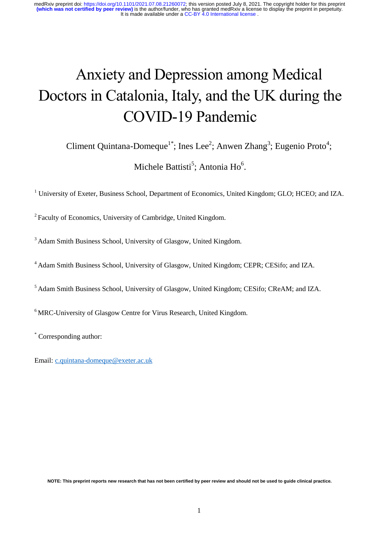# Anxiety and Depression among Medical Doctors in Catalonia, Italy, and the UK during the COVID-19 Pandemic

Climent Quintana-Domeque<sup>1\*</sup>; Ines Lee<sup>2</sup>; Anwen Zhang<sup>3</sup>; Eugenio Proto<sup>4</sup>;

Michele Battisti<sup>5</sup>; Antonia Ho<sup>6</sup>.

<sup>1</sup> University of Exeter, Business School, Department of Economics, United Kingdom; GLO; HCEO; and IZA.

<sup>2</sup>Faculty of Economics, University of Cambridge, United Kingdom.

<sup>3</sup> Adam Smith Business School, University of Glasgow, United Kingdom.

<sup>4</sup> Adam Smith Business School, University of Glasgow, United Kingdom; CEPR; CESifo; and IZA.

<sup>5</sup> Adam Smith Business School, University of Glasgow, United Kingdom; CESifo; CReAM; and IZA.

<sup>6</sup> MRC-University of Glasgow Centre for Virus Research, United Kingdom.

\* Corresponding author:

Email: [c.quintana-domeque@exeter.ac.uk](mailto:c.quintana-domeque@exeter.ac.uk)

**NOTE: This preprint reports new research that has not been certified by peer review and should not be used to guide clinical practice.**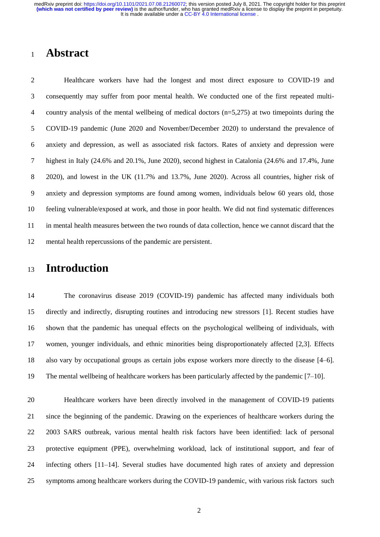## **Abstract**

 Healthcare workers have had the longest and most direct exposure to COVID-19 and consequently may suffer from poor mental health. We conducted one of the first repeated multi- country analysis of the mental wellbeing of medical doctors (n=5,275) at two timepoints during the COVID-19 pandemic (June 2020 and November/December 2020) to understand the prevalence of anxiety and depression, as well as associated risk factors. Rates of anxiety and depression were highest in Italy (24.6% and 20.1%, June 2020), second highest in Catalonia (24.6% and 17.4%, June 2020), and lowest in the UK (11.7% and 13.7%, June 2020). Across all countries, higher risk of anxiety and depression symptoms are found among women, individuals below 60 years old, those feeling vulnerable/exposed at work, and those in poor health. We did not find systematic differences in mental health measures between the two rounds of data collection, hence we cannot discard that the mental health repercussions of the pandemic are persistent.

## **Introduction**

 The coronavirus disease 2019 (COVID-19) pandemic has affected many individuals both directly and indirectly, disrupting routines and introducing new stressors [1]. Recent studies have shown that the pandemic has unequal effects on the psychological wellbeing of individuals, with women, younger individuals, and ethnic minorities being disproportionately affected [2,3]. Effects also vary by occupational groups as certain jobs expose workers more directly to the disease [4–6]. The mental wellbeing of healthcare workers has been particularly affected by the pandemic [7–10].

 Healthcare workers have been directly involved in the management of COVID-19 patients since the beginning of the pandemic. Drawing on the experiences of healthcare workers during the 2003 SARS outbreak, various mental health risk factors have been identified: lack of personal protective equipment (PPE), overwhelming workload, lack of institutional support, and fear of infecting others [11–14]. Several studies have documented high rates of anxiety and depression symptoms among healthcare workers during the COVID-19 pandemic, with various risk factors such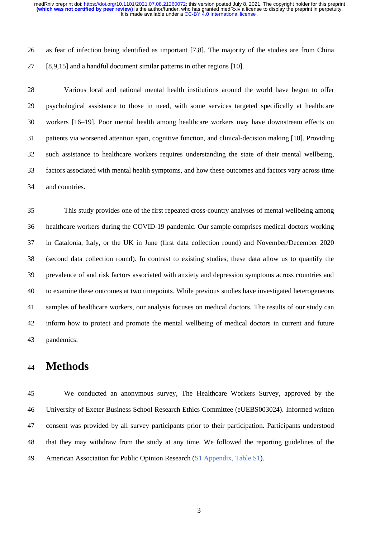as fear of infection being identified as important [7,8]. The majority of the studies are from China [8,9,15] and a handful document similar patterns in other regions [10].

 Various local and national mental health institutions around the world have begun to offer psychological assistance to those in need, with some services targeted specifically at healthcare workers [16–19]. Poor mental health among healthcare workers may have downstream effects on patients via worsened attention span, cognitive function, and clinical-decision making [10]. Providing such assistance to healthcare workers requires understanding the state of their mental wellbeing, factors associated with mental health symptoms, and how these outcomes and factors vary across time and countries.

 This study provides one of the first repeated cross-country analyses of mental wellbeing among healthcare workers during the COVID-19 pandemic. Our sample comprises medical doctors working in Catalonia, Italy, or the UK in June (first data collection round) and November/December 2020 (second data collection round). In contrast to existing studies, these data allow us to quantify the prevalence of and risk factors associated with anxiety and depression symptoms across countries and to examine these outcomes at two timepoints. While previous studies have investigated heterogeneous samples of healthcare workers, our analysis focuses on medical doctors. The results of our study can inform how to protect and promote the mental wellbeing of medical doctors in current and future pandemics.

## **Methods**

 We conducted an anonymous survey, The Healthcare Workers Survey, approved by the University of Exeter Business School Research Ethics Committee (eUEBS003024). Informed written consent was provided by all survey participants prior to their participation. Participants understood that they may withdraw from the study at any time. We followed the reporting guidelines of the American Association for Public Opinion Research (S1 Appendix, Table S1).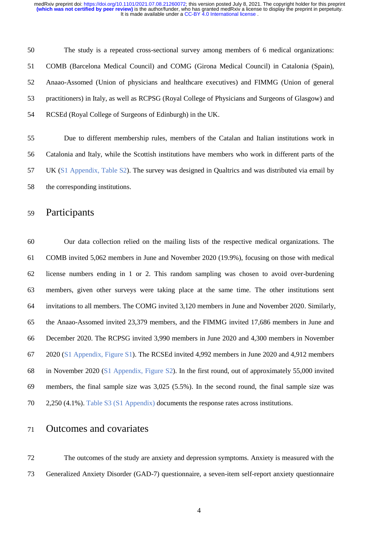The study is a repeated cross-sectional survey among members of 6 medical organizations: COMB (Barcelona Medical Council) and COMG (Girona Medical Council) in Catalonia (Spain), Anaao-Assomed (Union of physicians and healthcare executives) and FIMMG (Union of general practitioners) in Italy, as well as RCPSG (Royal College of Physicians and Surgeons of Glasgow) and RCSEd (Royal College of Surgeons of Edinburgh) in the UK.

 Due to different membership rules, members of the Catalan and Italian institutions work in Catalonia and Italy, while the Scottish institutions have members who work in different parts of the UK (S1 Appendix, Table S2). The survey was designed in Qualtrics and was distributed via email by the corresponding institutions.

#### Participants

 Our data collection relied on the mailing lists of the respective medical organizations. The COMB invited 5,062 members in June and November 2020 (19.9%), focusing on those with medical license numbers ending in 1 or 2. This random sampling was chosen to avoid over-burdening members, given other surveys were taking place at the same time. The other institutions sent invitations to all members. The COMG invited 3,120 members in June and November 2020. Similarly, the Anaao-Assomed invited 23,379 members, and the FIMMG invited 17,686 members in June and December 2020. The RCPSG invited 3,990 members in June 2020 and 4,300 members in November 2020 (S1 Appendix, Figure S1). The RCSEd invited 4,992 members in June 2020 and 4,912 members in November 2020 (S1 Appendix, Figure S2). In the first round, out of approximately 55,000 invited members, the final sample size was 3,025 (5.5%). In the second round, the final sample size was 2,250 (4.1%). Table S3 (S1 Appendix) documents the response rates across institutions.

### Outcomes and covariates

 The outcomes of the study are anxiety and depression symptoms. Anxiety is measured with the Generalized Anxiety Disorder (GAD-7) questionnaire, a seven-item self-report anxiety questionnaire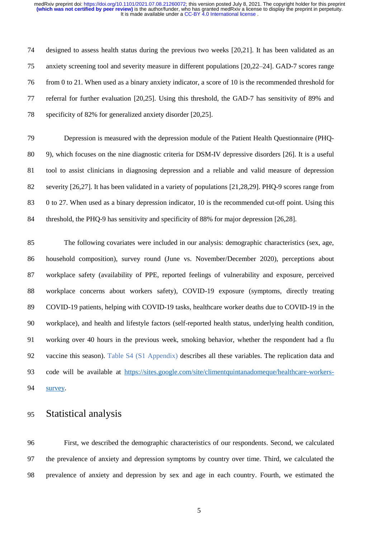designed to assess health status during the previous two weeks [20,21]. It has been validated as an anxiety screening tool and severity measure in different populations [20,22–24]. GAD-7 scores range from 0 to 21. When used as a binary anxiety indicator, a score of 10 is the recommended threshold for referral for further evaluation [20,25]. Using this threshold, the GAD-7 has sensitivity of 89% and specificity of 82% for generalized anxiety disorder [20,25].

 Depression is measured with the depression module of the Patient Health Questionnaire (PHQ- 9), which focuses on the nine diagnostic criteria for DSM-IV depressive disorders [26]. It is a useful tool to assist clinicians in diagnosing depression and a reliable and valid measure of depression severity [26,27]. It has been validated in a variety of populations [21,28,29]. PHQ-9 scores range from 0 to 27. When used as a binary depression indicator, 10 is the recommended cut-off point. Using this threshold, the PHQ-9 has sensitivity and specificity of 88% for major depression [26,28].

 The following covariates were included in our analysis: demographic characteristics (sex, age, household composition), survey round (June vs. November/December 2020), perceptions about workplace safety (availability of PPE, reported feelings of vulnerability and exposure, perceived workplace concerns about workers safety), COVID-19 exposure (symptoms, directly treating COVID-19 patients, helping with COVID-19 tasks, healthcare worker deaths due to COVID-19 in the workplace), and health and lifestyle factors (self-reported health status, underlying health condition, working over 40 hours in the previous week, smoking behavior, whether the respondent had a flu vaccine this season). Table S4 (S1 Appendix) describes all these variables. The replication data and code will be available at [https://sites.google.com/site/climentquintanadomeque/healthcare-workers-](https://sites.google.com/site/climentquintanadomeque/healthcare-workers-survey)[survey.](https://sites.google.com/site/climentquintanadomeque/healthcare-workers-survey)

#### Statistical analysis

 First, we described the demographic characteristics of our respondents. Second, we calculated the prevalence of anxiety and depression symptoms by country over time. Third, we calculated the prevalence of anxiety and depression by sex and age in each country. Fourth, we estimated the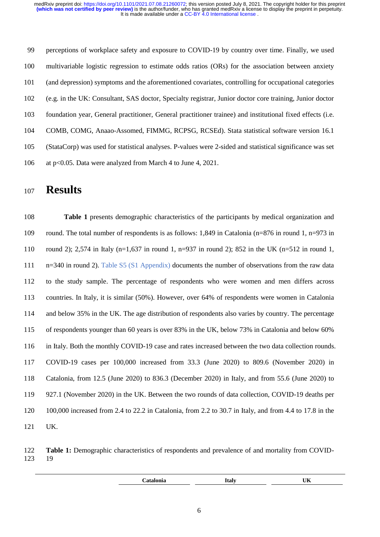perceptions of workplace safety and exposure to COVID-19 by country over time. Finally, we used multivariable logistic regression to estimate odds ratios (ORs) for the association between anxiety (and depression) symptoms and the aforementioned covariates, controlling for occupational categories (e.g. in the UK: Consultant, SAS doctor, Specialty registrar, Junior doctor core training, Junior doctor foundation year, General practitioner, General practitioner trainee) and institutional fixed effects (i.e. COMB, COMG, Anaao-Assomed, FIMMG, RCPSG, RCSEd). Stata statistical software version 16.1 (StataCorp) was used for statistical analyses. P-values were 2-sided and statistical significance was set at p<0.05. Data were analyzed from March 4 to June 4, 2021.

## **Results**

 **Table 1** presents demographic characteristics of the participants by medical organization and 109 round. The total number of respondents is as follows: 1,849 in Catalonia (n=876 in round 1, n=973 in round 2); 2,574 in Italy (n=1,637 in round 1, n=937 in round 2); 852 in the UK (n=512 in round 1, n=340 in round 2). Table S5 (S1 Appendix) documents the number of observations from the raw data to the study sample. The percentage of respondents who were women and men differs across countries. In Italy, it is similar (50%). However, over 64% of respondents were women in Catalonia and below 35% in the UK. The age distribution of respondents also varies by country. The percentage of respondents younger than 60 years is over 83% in the UK, below 73% in Catalonia and below 60% in Italy. Both the monthly COVID-19 case and rates increased between the two data collection rounds. COVID-19 cases per 100,000 increased from 33.3 (June 2020) to 809.6 (November 2020) in Catalonia, from 12.5 (June 2020) to 836.3 (December 2020) in Italy, and from 55.6 (June 2020) to 927.1 (November 2020) in the UK. Between the two rounds of data collection, COVID-19 deaths per 100,000 increased from 2.4 to 22.2 in Catalonia, from 2.2 to 30.7 in Italy, and from 4.4 to 17.8 in the UK.

 **Table 1:** Demographic characteristics of respondents and prevalence of and mortality from COVID-19

| . | . | $- - -$<br>$\sim$ |  |
|---|---|-------------------|--|
|   |   |                   |  |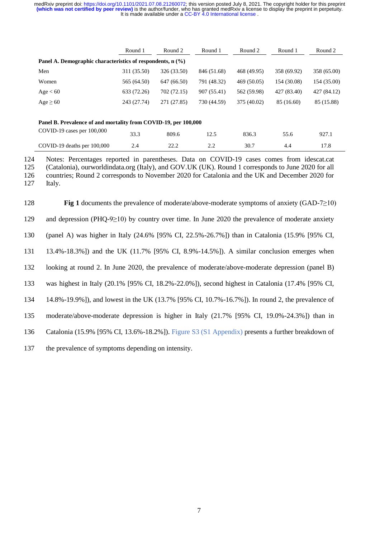|                                                                 | Round 1     | Round 2     | Round 1     | Round 2     | Round 1     | Round 2     |  |  |  |  |
|-----------------------------------------------------------------|-------------|-------------|-------------|-------------|-------------|-------------|--|--|--|--|
| Panel A. Demographic characteristics of respondents, $n$ (%)    |             |             |             |             |             |             |  |  |  |  |
| Men                                                             | 311 (35.50) | 326 (33.50) | 846 (51.68) | 468 (49.95) | 358 (69.92) | 358 (65.00) |  |  |  |  |
| Women                                                           | 565 (64.50) | 647 (66.50) | 791 (48.32) | 469 (50.05) | 154 (30.08) | 154 (35.00) |  |  |  |  |
| Age < 60                                                        | 633 (72.26) | 702 (72.15) | 907 (55.41) | 562 (59.98) | 427 (83.40) | 427 (84.12) |  |  |  |  |
| $Age \geq 60$                                                   | 243 (27.74) | 271 (27.85) | 730 (44.59) | 375 (40.02) | 85 (16.60)  | 85 (15.88)  |  |  |  |  |
|                                                                 |             |             |             |             |             |             |  |  |  |  |
| Panel B. Prevalence of and mortality from COVID-19, per 100,000 |             |             |             |             |             |             |  |  |  |  |
| COVID-19 cases per 100,000                                      | 33.3        | 809.6       | 12.5        | 836.3       | 55.6        | 927.1       |  |  |  |  |
| COVID-19 deaths per 100,000                                     | 2.4         | 22.2        | 2.2         | 30.7        | 4.4         | 17.8        |  |  |  |  |

 Notes: Percentages reported in parentheses. Data on COVID-19 cases comes from [idescat.cat](https://www.idescat.cat/indicadors/?id=anuals&n=13746) (Catalonia), ourworldindata.org (Italy), and [GOV.UK](https://coronavirus.data.gov.uk/) (UK). Round 1 corresponds to June 2020 for all countries; Round 2 corresponds to November 2020 for Catalonia and the UK and December 2020 for 127 Italy.

 **Fig 1** documents the prevalence of moderate/above-moderate symptoms of anxiety (GAD-7≥10) and depression (PHQ-9≥10) by country over time. In June 2020 the prevalence of moderate anxiety (panel A) was higher in Italy (24.6% [95% CI, 22.5%-26.7%]) than in Catalonia (15.9% [95% CI, 13.4%-18.3%]) and the UK (11.7% [95% CI, 8.9%-14.5%]). A similar conclusion emerges when looking at round 2. In June 2020, the prevalence of moderate/above-moderate depression (panel B) was highest in Italy (20.1% [95% CI, 18.2%-22.0%]), second highest in Catalonia (17.4% [95% CI, 14.8%-19.9%]), and lowest in the UK (13.7% [95% CI, 10.7%-16.7%]). In round 2, the prevalence of moderate/above-moderate depression is higher in Italy (21.7% [95% CI, 19.0%-24.3%]) than in Catalonia (15.9% [95% CI, 13.6%-18.2%]). Figure S3 (S1 Appendix) presents a further breakdown of the prevalence of symptoms depending on intensity.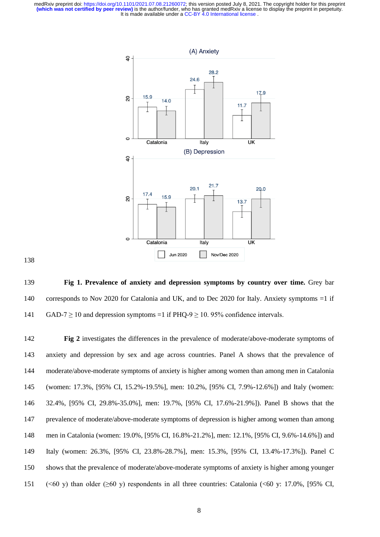

 **Fig 1. Prevalence of anxiety and depression symptoms by country over time.** Grey bar corresponds to Nov 2020 for Catalonia and UK, and to Dec 2020 for Italy. Anxiety symptoms =1 if 141 GAD-7  $\geq$  10 and depression symptoms =1 if PHQ-9  $\geq$  10. 95% confidence intervals.

 **Fig 2** investigates the differences in the prevalence of moderate/above-moderate symptoms of anxiety and depression by sex and age across countries. Panel A shows that the prevalence of moderate/above-moderate symptoms of anxiety is higher among women than among men in Catalonia (women: 17.3%, [95% CI, 15.2%-19.5%], men: 10.2%, [95% CI, 7.9%-12.6%]) and Italy (women: 32.4%, [95% CI, 29.8%-35.0%], men: 19.7%, [95% CI, 17.6%-21.9%]). Panel B shows that the prevalence of moderate/above-moderate symptoms of depression is higher among women than among men in Catalonia (women: 19.0%, [95% CI, 16.8%-21.2%], men: 12.1%, [95% CI, 9.6%-14.6%]) and Italy (women: 26.3%, [95% CI, 23.8%-28.7%], men: 15.3%, [95% CI, 13.4%-17.3%]). Panel C shows that the prevalence of moderate/above-moderate symptoms of anxiety is higher among younger (<60 y) than older (≥60 y) respondents in all three countries: Catalonia (<60 y: 17.0%, [95% CI,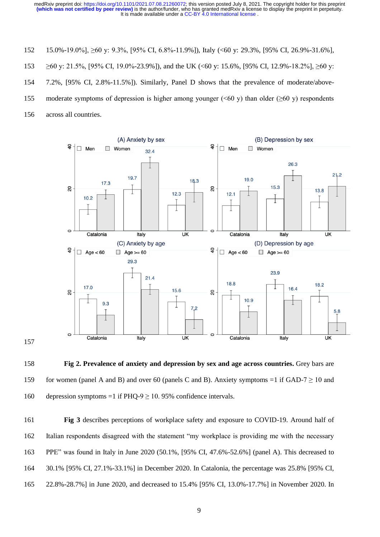- 15.0%-19.0%], ≥60 y: 9.3%, [95% CI, 6.8%-11.9%]), Italy (<60 y: 29.3%, [95% CI, 26.9%-31.6%],
- 153  $\geq 60$  y: 21.5%, [95% CI, 19.0%-23.9%]), and the UK (<60 y: 15.6%, [95% CI, 12.9%-18.2%],  $\geq 60$  y:
- 7.2%, [95% CI, 2.8%-11.5%]). Similarly, Panel D shows that the prevalence of moderate/above-
- 155 moderate symptoms of depression is higher among younger ( $\leq 60$  y) than older ( $\geq 60$  y) respondents
- across all countries.



 **Fig 2. Prevalence of anxiety and depression by sex and age across countries.** Grey bars are 159 for women (panel A and B) and over 60 (panels C and B). Anxiety symptoms =1 if GAD-7  $\geq$  10 and 160 depression symptoms =1 if PHQ-9  $\geq$  10.95% confidence intervals.

 **Fig 3** describes perceptions of workplace safety and exposure to COVID-19. Around half of Italian respondents disagreed with the statement "my workplace is providing me with the necessary PPE" was found in Italy in June 2020 (50.1%, [95% CI, 47.6%-52.6%] (panel A). This decreased to 30.1% [95% CI, 27.1%-33.1%] in December 2020. In Catalonia, the percentage was 25.8% [95% CI, 22.8%-28.7%] in June 2020, and decreased to 15.4% [95% CI, 13.0%-17.7%] in November 2020. In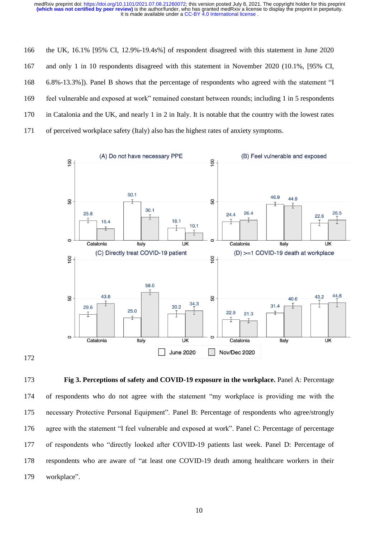the UK, 16.1% [95% CI, 12.9%-19.4s%] of respondent disagreed with this statement in June 2020 and only 1 in 10 respondents disagreed with this statement in November 2020 (10.1%, [95% CI, 6.8%-13.3%]). Panel B shows that the percentage of respondents who agreed with the statement "I feel vulnerable and exposed at work" remained constant between rounds; including 1 in 5 respondents in Catalonia and the UK, and nearly 1 in 2 in Italy. It is notable that the country with the lowest rates of perceived workplace safety (Italy) also has the highest rates of anxiety symptoms.



 **Fig 3. Perceptions of safety and COVID-19 exposure in the workplace.** Panel A: Percentage of respondents who do not agree with the statement "my workplace is providing me with the necessary Protective Personal Equipment". Panel B: Percentage of respondents who agree/strongly agree with the statement "I feel vulnerable and exposed at work". Panel C: Percentage of percentage of respondents who "directly looked after COVID-19 patients last week. Panel D: Percentage of respondents who are aware of "at least one COVID-19 death among healthcare workers in their workplace".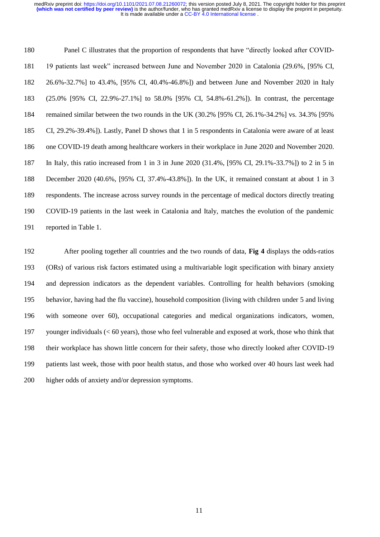Panel C illustrates that the proportion of respondents that have "directly looked after COVID- 19 patients last week" increased between June and November 2020 in Catalonia (29.6%, [95% CI, 26.6%-32.7%] to 43.4%, [95% CI, 40.4%-46.8%]) and between June and November 2020 in Italy (25.0% [95% CI, 22.9%-27.1%] to 58.0% [95% CI, 54.8%-61.2%]). In contrast, the percentage remained similar between the two rounds in the UK (30.2% [95% CI, 26.1%-34.2%] vs. 34.3% [95% CI, 29.2%-39.4%]). Lastly, Panel D shows that 1 in 5 respondents in Catalonia were aware of at least one COVID-19 death among healthcare workers in their workplace in June 2020 and November 2020. In Italy, this ratio increased from 1 in 3 in June 2020 (31.4%, [95% CI, 29.1%-33.7%]) to 2 in 5 in December 2020 (40.6%, [95% CI, 37.4%-43.8%]). In the UK, it remained constant at about 1 in 3 respondents. The increase across survey rounds in the percentage of medical doctors directly treating COVID-19 patients in the last week in Catalonia and Italy, matches the evolution of the pandemic reported in Table 1.

 After pooling together all countries and the two rounds of data, **Fig 4** displays the odds-ratios (ORs) of various risk factors estimated using a multivariable logit specification with binary anxiety and depression indicators as the dependent variables. Controlling for health behaviors (smoking behavior, having had the flu vaccine), household composition (living with children under 5 and living with someone over 60), occupational categories and medical organizations indicators, women, younger individuals (< 60 years), those who feel vulnerable and exposed at work, those who think that their workplace has shown little concern for their safety, those who directly looked after COVID-19 patients last week, those with poor health status, and those who worked over 40 hours last week had higher odds of anxiety and/or depression symptoms.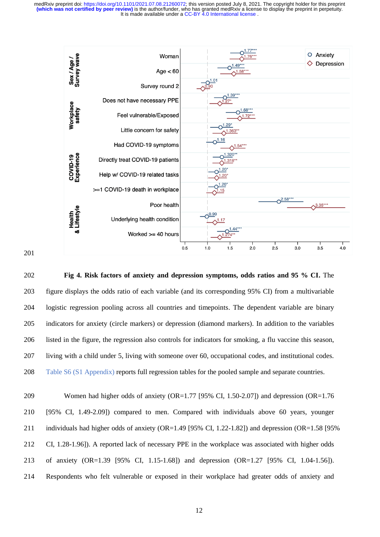

#### 

 **Fig 4. Risk factors of anxiety and depression symptoms, odds ratios and 95 % CI.** The figure displays the odds ratio of each variable (and its corresponding 95% CI) from a multivariable logistic regression pooling across all countries and timepoints. The dependent variable are binary indicators for anxiety (circle markers) or depression (diamond markers). In addition to the variables listed in the figure, the regression also controls for indicators for smoking, a flu vaccine this season, living with a child under 5, living with someone over 60, occupational codes, and institutional codes. Table S6 (S1 Appendix) reports full regression tables for the pooled sample and separate countries.

 Women had higher odds of anxiety (OR=1.77 [95% CI, 1.50-2.07]) and depression (OR=1.76 [95% CI, 1.49-2.09]) compared to men. Compared with individuals above 60 years, younger individuals had higher odds of anxiety (OR=1.49 [95% CI, 1.22-1.82]) and depression (OR=1.58 [95% CI, 1.28-1.96]). A reported lack of necessary PPE in the workplace was associated with higher odds of anxiety (OR=1.39 [95% CI, 1.15-1.68]) and depression (OR=1.27 [95% CI, 1.04-1.56]). Respondents who felt vulnerable or exposed in their workplace had greater odds of anxiety and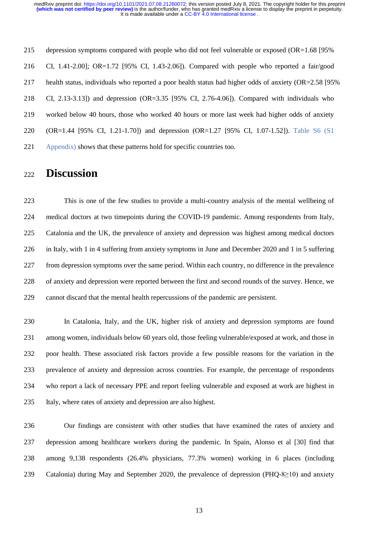depression symptoms compared with people who did not feel vulnerable or exposed (OR=1.68 [95% CI, 1.41-2.00]; OR=1.72 [95% CI, 1.43-2.06]). Compared with people who reported a fair/good health status, individuals who reported a poor health status had higher odds of anxiety (OR=2.58 [95% CI, 2.13-3.13]) and depression (OR=3.35 [95% CI, 2.76-4.06]). Compared with individuals who worked below 40 hours, those who worked 40 hours or more last week had higher odds of anxiety (OR=1.44 [95% CI, 1.21-1.70]) and depression (OR=1.27 [95% CI, 1.07-1.52]). Table S6 (S1 Appendix) shows that these patterns hold for specific countries too.

## **Discussion**

 This is one of the few studies to provide a multi-country analysis of the mental wellbeing of medical doctors at two timepoints during the COVID-19 pandemic. Among respondents from Italy, Catalonia and the UK, the prevalence of anxiety and depression was highest among medical doctors in Italy, with 1 in 4 suffering from anxiety symptoms in June and December 2020 and 1 in 5 suffering from depression symptoms over the same period. Within each country, no difference in the prevalence of anxiety and depression were reported between the first and second rounds of the survey. Hence, we cannot discard that the mental health repercussions of the pandemic are persistent.

 In Catalonia, Italy, and the UK, higher risk of anxiety and depression symptoms are found among women, individuals below 60 years old, those feeling vulnerable/exposed at work, and those in poor health. These associated risk factors provide a few possible reasons for the variation in the prevalence of anxiety and depression across countries. For example, the percentage of respondents who report a lack of necessary PPE and report feeling vulnerable and exposed at work are highest in Italy, where rates of anxiety and depression are also highest.

 Our findings are consistent with other studies that have examined the rates of anxiety and depression among healthcare workers during the pandemic. In Spain, Alonso et al [30] find that among 9,138 respondents (26.4% physicians, 77.3% women) working in 6 places (including Catalonia) during May and September 2020, the prevalence of depression (PHQ-8≥10) and anxiety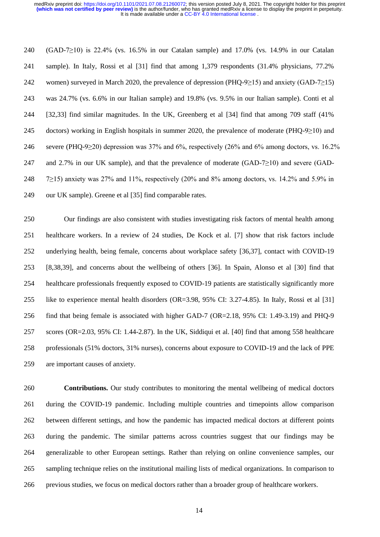(GAD-7≥10) is 22.4% (vs. 16.5% in our Catalan sample) and 17.0% (vs. 14.9% in our Catalan sample). In Italy, Rossi et al [31] find that among 1,379 respondents (31.4% physicians, 77.2% women) surveyed in March 2020, the prevalence of depression (PHQ-9≥15) and anxiety (GAD-7≥15) was 24.7% (vs. 6.6% in our Italian sample) and 19.8% (vs. 9.5% in our Italian sample). Conti et al [32,33] find similar magnitudes. In the UK, Greenberg et al [34] find that among 709 staff (41% doctors) working in English hospitals in summer 2020, the prevalence of moderate (PHQ-9≥10) and 246 severe (PHQ-9 $\geq$ 20) depression was 37% and 6%, respectively (26% and 6% among doctors, vs. 16.2% and 2.7% in our UK sample), and that the prevalence of moderate (GAD-7≥10) and severe (GAD- 7≥15) anxiety was 27% and 11%, respectively (20% and 8% among doctors, vs. 14.2% and 5.9% in our UK sample). Greene et al [35] find comparable rates.

 Our findings are also consistent with studies investigating risk factors of mental health among healthcare workers. In a review of 24 studies, De Kock et al. [7] show that risk factors include underlying health, being female, concerns about workplace safety [36,37], contact with COVID-19 [8,38,39], and concerns about the wellbeing of others [36]. In Spain, Alonso et al [30] find that healthcare professionals frequently exposed to COVID-19 patients are statistically significantly more like to experience mental health disorders (OR=3.98, 95% CI: 3.27-4.85). In Italy, Rossi et al [31] find that being female is associated with higher GAD-7 (OR=2.18, 95% CI: 1.49-3.19) and PHQ-9 scores (OR=2.03, 95% CI: 1.44-2.87). In the UK, Siddiqui et al. [40] find that among 558 healthcare professionals (51% doctors, 31% nurses), concerns about exposure to COVID-19 and the lack of PPE are important causes of anxiety.

 **Contributions.** Our study contributes to monitoring the mental wellbeing of medical doctors during the COVID-19 pandemic. Including multiple countries and timepoints allow comparison between different settings, and how the pandemic has impacted medical doctors at different points during the pandemic. The similar patterns across countries suggest that our findings may be generalizable to other European settings. Rather than relying on online convenience samples, our sampling technique relies on the institutional mailing lists of medical organizations. In comparison to previous studies, we focus on medical doctors rather than a broader group of healthcare workers.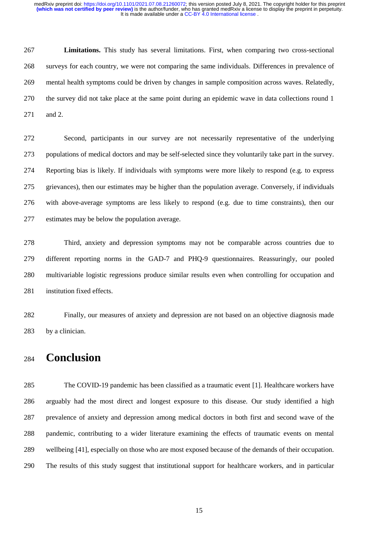**Limitations.** This study has several limitations. First, when comparing two cross-sectional surveys for each country, we were not comparing the same individuals. Differences in prevalence of mental health symptoms could be driven by changes in sample composition across waves. Relatedly, the survey did not take place at the same point during an epidemic wave in data collections round 1 and 2.

 Second, participants in our survey are not necessarily representative of the underlying populations of medical doctors and may be self-selected since they voluntarily take part in the survey. Reporting bias is likely. If individuals with symptoms were more likely to respond (e.g. to express grievances), then our estimates may be higher than the population average. Conversely, if individuals with above-average symptoms are less likely to respond (e.g. due to time constraints), then our estimates may be below the population average.

 Third, anxiety and depression symptoms may not be comparable across countries due to different reporting norms in the GAD-7 and PHQ-9 questionnaires. Reassuringly, our pooled multivariable logistic regressions produce similar results even when controlling for occupation and institution fixed effects.

 Finally, our measures of anxiety and depression are not based on an objective diagnosis made by a clinician.

## **Conclusion**

 The COVID-19 pandemic has been classified as a traumatic event [1]. Healthcare workers have arguably had the most direct and longest exposure to this disease. Our study identified a high prevalence of anxiety and depression among medical doctors in both first and second wave of the pandemic, contributing to a wider literature examining the effects of traumatic events on mental wellbeing [41], especially on those who are most exposed because of the demands of their occupation. The results of this study suggest that institutional support for healthcare workers, and in particular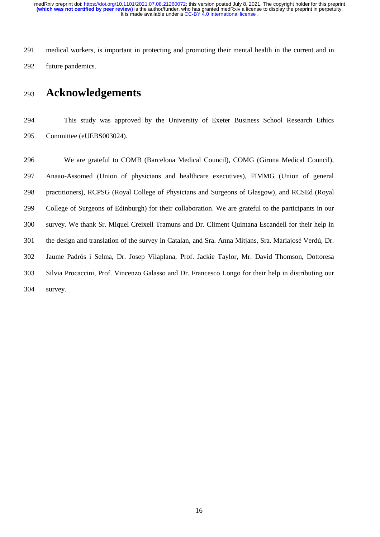medical workers, is important in protecting and promoting their mental health in the current and in future pandemics.

## **Acknowledgements**

 This study was approved by the University of Exeter Business School Research Ethics Committee (eUEBS003024).

 We are grateful to COMB (Barcelona Medical Council), COMG (Girona Medical Council), Anaao-Assomed (Union of physicians and healthcare executives), FIMMG (Union of general practitioners), RCPSG (Royal College of Physicians and Surgeons of Glasgow), and RCSEd (Royal College of Surgeons of Edinburgh) for their collaboration. We are grateful to the participants in our survey. We thank Sr. Miquel Creixell Tramuns and Dr. Climent Quintana Escandell for their help in the design and translation of the survey in Catalan, and Sra. Anna Mitjans, Sra. Mariajosé Verdú, Dr. Jaume Padrós i Selma, Dr. Josep Vilaplana, Prof. Jackie Taylor, Mr. David Thomson, Dottoresa Silvia Procaccini, Prof. Vincenzo Galasso and Dr. Francesco Longo for their help in distributing our survey.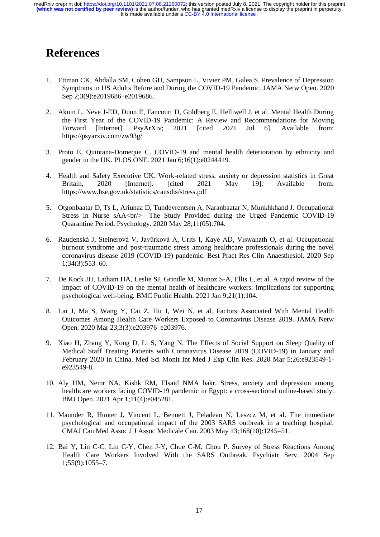## **References**

- 1. Ettman CK, Abdalla SM, Cohen GH, Sampson L, Vivier PM, Galea S. Prevalence of Depression Symptoms in US Adults Before and During the COVID-19 Pandemic. JAMA Netw Open. 2020 Sep 2;3(9):e2019686–e2019686.
- 2. Aknin L, Neve J-ED, Dunn E, Fancourt D, Goldberg E, Helliwell J, et al. Mental Health During the First Year of the COVID-19 Pandemic: A Review and Recommendations for Moving Forward [Internet]. PsyArXiv; 2021 [cited 2021 Jul 6]. Available from: https://psyarxiv.com/zw93g/
- 3. Proto E, Quintana-Domeque C. COVID-19 and mental health deterioration by ethnicity and gender in the UK. PLOS ONE. 2021 Jan 6;16(1):e0244419.
- 4. Health and Safety Executive UK. Work-related stress, anxiety or depression statistics in Great Britain, 2020 [Internet]. [cited 2021 May 19]. Available from: https://www.hse.gov.uk/statistics/causdis/stress.pdf
- 5. Otgonbaatar D, Ts L, Ariunaa D, Tundevrentsen A, Naranbaatar N, Munkhkhand J. Occupational Stress in Nurse sAA<br/>shr>—The Study Provided during the Urged Pandemic COVID-19 Quarantine Period. Psychology. 2020 May 28;11(05):704.
- 6. Raudenská J, Steinerová V, Javůrková A, Urits I, Kaye AD, Viswanath O, et al. Occupational burnout syndrome and post-traumatic stress among healthcare professionals during the novel coronavirus disease 2019 (COVID-19) pandemic. Best Pract Res Clin Anaesthesiol. 2020 Sep 1;34(3):553–60.
- 7. De Kock JH, Latham HA, Leslie SJ, Grindle M, Munoz S-A, Ellis L, et al. A rapid review of the impact of COVID-19 on the mental health of healthcare workers: implications for supporting psychological well-being. BMC Public Health. 2021 Jan 9;21(1):104.
- 8. Lai J, Ma S, Wang Y, Cai Z, Hu J, Wei N, et al. Factors Associated With Mental Health Outcomes Among Health Care Workers Exposed to Coronavirus Disease 2019. JAMA Netw Open. 2020 Mar 23;3(3):e203976–e203976.
- 9. Xiao H, Zhang Y, Kong D, Li S, Yang N. The Effects of Social Support on Sleep Quality of Medical Staff Treating Patients with Coronavirus Disease 2019 (COVID-19) in January and February 2020 in China. Med Sci Monit Int Med J Exp Clin Res. 2020 Mar 5;26:e923549-1 e923549-8.
- 10. Aly HM, Nemr NA, Kishk RM, Elsaid NMA bakr. Stress, anxiety and depression among healthcare workers facing COVID-19 pandemic in Egypt: a cross-sectional online-based study. BMJ Open. 2021 Apr 1;11(4):e045281.
- 11. Maunder R, Hunter J, Vincent L, Bennett J, Peladeau N, Leszcz M, et al. The immediate psychological and occupational impact of the 2003 SARS outbreak in a teaching hospital. CMAJ Can Med Assoc J J Assoc Medicale Can. 2003 May 13;168(10):1245–51.
- 12. Bai Y, Lin C-C, Lin C-Y, Chen J-Y, Chue C-M, Chou P. Survey of Stress Reactions Among Health Care Workers Involved With the SARS Outbreak. Psychiatr Serv. 2004 Sep 1;55(9):1055–7.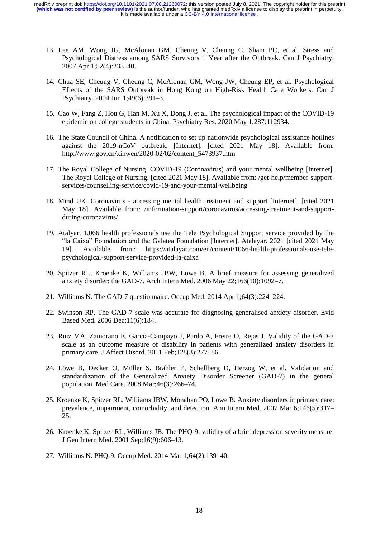- 13. Lee AM, Wong JG, McAlonan GM, Cheung V, Cheung C, Sham PC, et al. Stress and Psychological Distress among SARS Survivors 1 Year after the Outbreak. Can J Psychiatry. 2007 Apr 1;52(4):233–40.
- 14. Chua SE, Cheung V, Cheung C, McAlonan GM, Wong JW, Cheung EP, et al. Psychological Effects of the SARS Outbreak in Hong Kong on High-Risk Health Care Workers. Can J Psychiatry. 2004 Jun 1;49(6):391–3.
- 15. Cao W, Fang Z, Hou G, Han M, Xu X, Dong J, et al. The psychological impact of the COVID-19 epidemic on college students in China. Psychiatry Res. 2020 May 1;287:112934.
- 16. The State Council of China. A notification to set up nationwide psychological assistance hotlines against the 2019-nCoV outbreak. [Internet]. [cited 2021 May 18]. Available from: http://www.gov.cn/xinwen/2020-02/02/content\_5473937.htm
- 17. The Royal College of Nursing. COVID-19 (Coronavirus) and your mental wellbeing [Internet]. The Royal College of Nursing. [cited 2021 May 18]. Available from: /get-help/member-supportservices/counselling-service/covid-19-and-your-mental-wellbeing
- 18. Mind UK. Coronavirus accessing mental health treatment and support [Internet]. [cited 2021 May 18]. Available from: /information-support/coronavirus/accessing-treatment-and-supportduring-coronavirus/
- 19. Atalyar. 1,066 health professionals use the Tele Psychological Support service provided by the "la Caixa" Foundation and the Galatea Foundation [Internet]. Atalayar. 2021 [cited 2021 May 19]. Available from: https://atalayar.com/en/content/1066-health-professionals-use-telepsychological-support-service-provided-la-caixa
- 20. Spitzer RL, Kroenke K, Williams JBW, Löwe B. A brief measure for assessing generalized anxiety disorder: the GAD-7. Arch Intern Med. 2006 May 22;166(10):1092–7.
- 21. Williams N. The GAD-7 questionnaire. Occup Med. 2014 Apr 1;64(3):224–224.
- 22. Swinson RP. The GAD-7 scale was accurate for diagnosing generalised anxiety disorder. Evid Based Med. 2006 Dec;11(6):184.
- 23. Ruiz MA, Zamorano E, García-Campayo J, Pardo A, Freire O, Rejas J. Validity of the GAD-7 scale as an outcome measure of disability in patients with generalized anxiety disorders in primary care. J Affect Disord. 2011 Feb;128(3):277–86.
- 24. Löwe B, Decker O, Müller S, Brähler E, Schellberg D, Herzog W, et al. Validation and standardization of the Generalized Anxiety Disorder Screener (GAD-7) in the general population. Med Care. 2008 Mar;46(3):266–74.
- 25. Kroenke K, Spitzer RL, Williams JBW, Monahan PO, Löwe B. Anxiety disorders in primary care: prevalence, impairment, comorbidity, and detection. Ann Intern Med. 2007 Mar 6;146(5):317– 25.
- 26. Kroenke K, Spitzer RL, Williams JB. The PHQ-9: validity of a brief depression severity measure. J Gen Intern Med. 2001 Sep;16(9):606–13.
- 27. Williams N. PHQ-9. Occup Med. 2014 Mar 1;64(2):139–40.